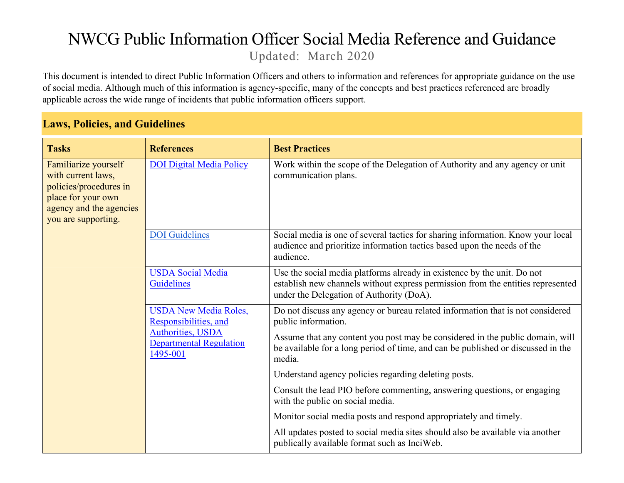## NWCG Public Information Officer Social Media Reference and Guidance Updated: March 2020

This document is intended to direct Public Information Officers and others to information and references for appropriate guidance on the use of social media. Although much of this information is agency-specific, many of the concepts and best practices referenced are broadly applicable across the wide range of incidents that public information officers support.

## **Laws, Policies, and Guidelines**

| <b>Tasks</b>                                                                                                                                 | <b>References</b>                                                                                                                                                           | <b>Best Practices</b>                                                                                                                                                                                  |
|----------------------------------------------------------------------------------------------------------------------------------------------|-----------------------------------------------------------------------------------------------------------------------------------------------------------------------------|--------------------------------------------------------------------------------------------------------------------------------------------------------------------------------------------------------|
| Familiarize yourself<br>with current laws,<br>policies/procedures in<br>place for your own<br>agency and the agencies<br>you are supporting. | <b>DOI Digital Media Policy</b>                                                                                                                                             | Work within the scope of the Delegation of Authority and any agency or unit<br>communication plans.                                                                                                    |
|                                                                                                                                              | <b>DOI</b> Guidelines                                                                                                                                                       | Social media is one of several tactics for sharing information. Know your local<br>audience and prioritize information tactics based upon the needs of the<br>audience.                                |
|                                                                                                                                              | <b>USDA</b> Social Media<br>Guidelines                                                                                                                                      | Use the social media platforms already in existence by the unit. Do not<br>establish new channels without express permission from the entities represented<br>under the Delegation of Authority (DoA). |
|                                                                                                                                              | <b>USDA New Media Roles,</b><br>Responsibilities, and                                                                                                                       | Do not discuss any agency or bureau related information that is not considered<br>public information.                                                                                                  |
| <b>Authorities, USDA</b><br><b>Departmental Regulation</b><br>1495-001                                                                       | Assume that any content you post may be considered in the public domain, will<br>be available for a long period of time, and can be published or discussed in the<br>media. |                                                                                                                                                                                                        |
|                                                                                                                                              |                                                                                                                                                                             | Understand agency policies regarding deleting posts.                                                                                                                                                   |
|                                                                                                                                              |                                                                                                                                                                             | Consult the lead PIO before commenting, answering questions, or engaging<br>with the public on social media.                                                                                           |
|                                                                                                                                              |                                                                                                                                                                             | Monitor social media posts and respond appropriately and timely.                                                                                                                                       |
|                                                                                                                                              |                                                                                                                                                                             | All updates posted to social media sites should also be available via another<br>publically available format such as InciWeb.                                                                          |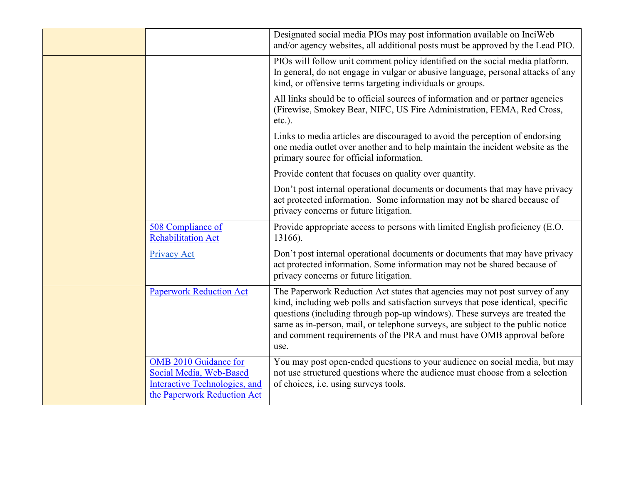|                                                                                                                                | Designated social media PIOs may post information available on InciWeb<br>and/or agency websites, all additional posts must be approved by the Lead PIO.                                                                                                                                                                                                                                                           |
|--------------------------------------------------------------------------------------------------------------------------------|--------------------------------------------------------------------------------------------------------------------------------------------------------------------------------------------------------------------------------------------------------------------------------------------------------------------------------------------------------------------------------------------------------------------|
|                                                                                                                                | PIOs will follow unit comment policy identified on the social media platform.<br>In general, do not engage in vulgar or abusive language, personal attacks of any<br>kind, or offensive terms targeting individuals or groups.                                                                                                                                                                                     |
|                                                                                                                                | All links should be to official sources of information and or partner agencies<br>(Firewise, Smokey Bear, NIFC, US Fire Administration, FEMA, Red Cross,<br>etc.).                                                                                                                                                                                                                                                 |
|                                                                                                                                | Links to media articles are discouraged to avoid the perception of endorsing<br>one media outlet over another and to help maintain the incident website as the<br>primary source for official information.                                                                                                                                                                                                         |
|                                                                                                                                | Provide content that focuses on quality over quantity.                                                                                                                                                                                                                                                                                                                                                             |
|                                                                                                                                | Don't post internal operational documents or documents that may have privacy<br>act protected information. Some information may not be shared because of<br>privacy concerns or future litigation.                                                                                                                                                                                                                 |
| 508 Compliance of<br><b>Rehabilitation Act</b>                                                                                 | Provide appropriate access to persons with limited English proficiency (E.O.<br>13166).                                                                                                                                                                                                                                                                                                                            |
| Privacy Act                                                                                                                    | Don't post internal operational documents or documents that may have privacy<br>act protected information. Some information may not be shared because of<br>privacy concerns or future litigation.                                                                                                                                                                                                                 |
| <b>Paperwork Reduction Act</b>                                                                                                 | The Paperwork Reduction Act states that agencies may not post survey of any<br>kind, including web polls and satisfaction surveys that pose identical, specific<br>questions (including through pop-up windows). These surveys are treated the<br>same as in-person, mail, or telephone surveys, are subject to the public notice<br>and comment requirements of the PRA and must have OMB approval before<br>use. |
| <b>OMB 2010 Guidance for</b><br>Social Media, Web-Based<br><b>Interactive Technologies, and</b><br>the Paperwork Reduction Act | You may post open-ended questions to your audience on social media, but may<br>not use structured questions where the audience must choose from a selection<br>of choices, i.e. using surveys tools.                                                                                                                                                                                                               |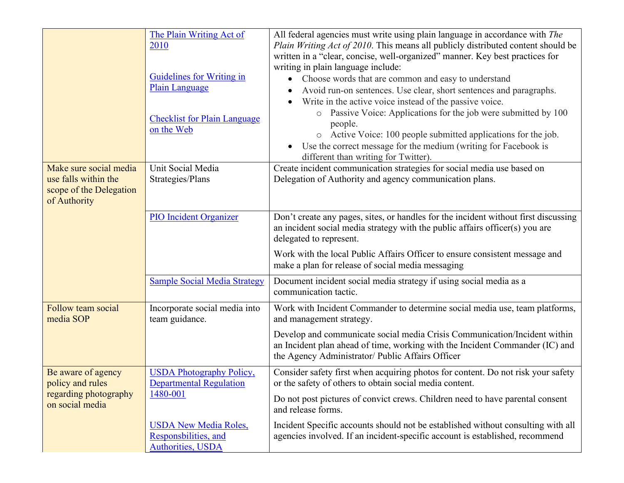|                                                                                           | The Plain Writing Act of<br>2010<br>Guidelines for Writing in<br><b>Plain Language</b><br><b>Checklist for Plain Language</b><br>on the Web | All federal agencies must write using plain language in accordance with The<br>Plain Writing Act of 2010. This means all publicly distributed content should be<br>written in a "clear, concise, well-organized" manner. Key best practices for<br>writing in plain language include:<br>Choose words that are common and easy to understand<br>Avoid run-on sentences. Use clear, short sentences and paragraphs.<br>Write in the active voice instead of the passive voice.<br>Passive Voice: Applications for the job were submitted by 100<br>people.<br>o Active Voice: 100 people submitted applications for the job.<br>Use the correct message for the medium (writing for Facebook is<br>different than writing for Twitter). |
|-------------------------------------------------------------------------------------------|---------------------------------------------------------------------------------------------------------------------------------------------|----------------------------------------------------------------------------------------------------------------------------------------------------------------------------------------------------------------------------------------------------------------------------------------------------------------------------------------------------------------------------------------------------------------------------------------------------------------------------------------------------------------------------------------------------------------------------------------------------------------------------------------------------------------------------------------------------------------------------------------|
| Make sure social media<br>use falls within the<br>scope of the Delegation<br>of Authority | Unit Social Media<br>Strategies/Plans                                                                                                       | Create incident communication strategies for social media use based on<br>Delegation of Authority and agency communication plans.                                                                                                                                                                                                                                                                                                                                                                                                                                                                                                                                                                                                      |
|                                                                                           | <b>PIO Incident Organizer</b>                                                                                                               | Don't create any pages, sites, or handles for the incident without first discussing<br>an incident social media strategy with the public affairs officer(s) you are<br>delegated to represent.<br>Work with the local Public Affairs Officer to ensure consistent message and<br>make a plan for release of social media messaging                                                                                                                                                                                                                                                                                                                                                                                                     |
|                                                                                           | <b>Sample Social Media Strategy</b>                                                                                                         | Document incident social media strategy if using social media as a<br>communication tactic.                                                                                                                                                                                                                                                                                                                                                                                                                                                                                                                                                                                                                                            |
| Follow team social<br>media SOP                                                           | Incorporate social media into<br>team guidance.                                                                                             | Work with Incident Commander to determine social media use, team platforms,<br>and management strategy.                                                                                                                                                                                                                                                                                                                                                                                                                                                                                                                                                                                                                                |
|                                                                                           |                                                                                                                                             | Develop and communicate social media Crisis Communication/Incident within<br>an Incident plan ahead of time, working with the Incident Commander (IC) and<br>the Agency Administrator/ Public Affairs Officer                                                                                                                                                                                                                                                                                                                                                                                                                                                                                                                          |
| Be aware of agency<br>policy and rules<br>regarding photography<br>on social media        | <b>USDA Photography Policy,</b><br><b>Departmental Regulation</b><br>1480-001                                                               | Consider safety first when acquiring photos for content. Do not risk your safety<br>or the safety of others to obtain social media content.<br>Do not post pictures of convict crews. Children need to have parental consent<br>and release forms.                                                                                                                                                                                                                                                                                                                                                                                                                                                                                     |
|                                                                                           | <b>USDA New Media Roles,</b><br>Responsbilities, and<br><b>Authorities, USDA</b>                                                            | Incident Specific accounts should not be established without consulting with all<br>agencies involved. If an incident-specific account is established, recommend                                                                                                                                                                                                                                                                                                                                                                                                                                                                                                                                                                       |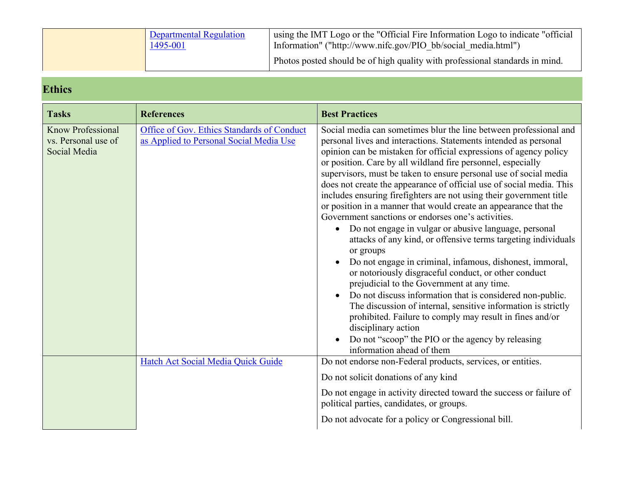| <b>Departmental Regulation</b><br>1495-001 | using the IMT Logo or the "Official Fire Information Logo to indicate "official"<br>Information" ("http://www.nifc.gov/PIO bb/social media.html") |
|--------------------------------------------|---------------------------------------------------------------------------------------------------------------------------------------------------|
|                                            | Photos posted should be of high quality with professional standards in mind.                                                                      |

## **Ethics**

| <b>Tasks</b>                                                    | <b>References</b>                                                                     | <b>Best Practices</b>                                                                                                                                                                                                                                                                                                                                                                                                                                                                                                                                                                                                                                                                                                                                                                                                                                                                                                                                                                                                                                                                                                                                                                                                                |
|-----------------------------------------------------------------|---------------------------------------------------------------------------------------|--------------------------------------------------------------------------------------------------------------------------------------------------------------------------------------------------------------------------------------------------------------------------------------------------------------------------------------------------------------------------------------------------------------------------------------------------------------------------------------------------------------------------------------------------------------------------------------------------------------------------------------------------------------------------------------------------------------------------------------------------------------------------------------------------------------------------------------------------------------------------------------------------------------------------------------------------------------------------------------------------------------------------------------------------------------------------------------------------------------------------------------------------------------------------------------------------------------------------------------|
| <b>Know Professional</b><br>vs. Personal use of<br>Social Media | Office of Gov. Ethics Standards of Conduct<br>as Applied to Personal Social Media Use | Social media can sometimes blur the line between professional and<br>personal lives and interactions. Statements intended as personal<br>opinion can be mistaken for official expressions of agency policy<br>or position. Care by all wildland fire personnel, especially<br>supervisors, must be taken to ensure personal use of social media<br>does not create the appearance of official use of social media. This<br>includes ensuring firefighters are not using their government title<br>or position in a manner that would create an appearance that the<br>Government sanctions or endorses one's activities.<br>Do not engage in vulgar or abusive language, personal<br>attacks of any kind, or offensive terms targeting individuals<br>or groups<br>Do not engage in criminal, infamous, dishonest, immoral,<br>or notoriously disgraceful conduct, or other conduct<br>prejudicial to the Government at any time.<br>Do not discuss information that is considered non-public.<br>The discussion of internal, sensitive information is strictly<br>prohibited. Failure to comply may result in fines and/or<br>disciplinary action<br>Do not "scoop" the PIO or the agency by releasing<br>information ahead of them |
|                                                                 | Hatch Act Social Media Quick Guide                                                    | Do not endorse non-Federal products, services, or entities.<br>Do not solicit donations of any kind<br>Do not engage in activity directed toward the success or failure of<br>political parties, candidates, or groups.<br>Do not advocate for a policy or Congressional bill.                                                                                                                                                                                                                                                                                                                                                                                                                                                                                                                                                                                                                                                                                                                                                                                                                                                                                                                                                       |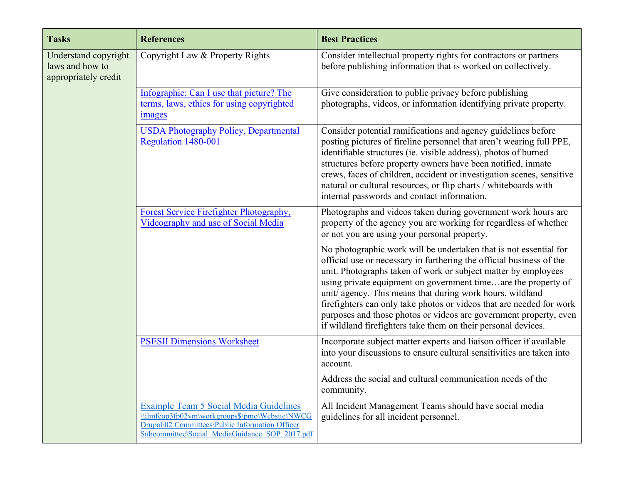| <b>Tasks</b>                                                    | <b>References</b>                                                                                                                                                                             | <b>Best Practices</b>                                                                                                                                                                                                                                                                                                                                                                                                                                                                                                                                   |
|-----------------------------------------------------------------|-----------------------------------------------------------------------------------------------------------------------------------------------------------------------------------------------|---------------------------------------------------------------------------------------------------------------------------------------------------------------------------------------------------------------------------------------------------------------------------------------------------------------------------------------------------------------------------------------------------------------------------------------------------------------------------------------------------------------------------------------------------------|
| Understand copyright<br>laws and how to<br>appropriately credit | Copyright Law & Property Rights                                                                                                                                                               | Consider intellectual property rights for contractors or partners<br>before publishing information that is worked on collectively.                                                                                                                                                                                                                                                                                                                                                                                                                      |
|                                                                 | Infographic: Can I use that picture? The<br>terms, laws, ethics for using copyrighted<br>images                                                                                               | Give consideration to public privacy before publishing<br>photographs, videos, or information identifying private property.                                                                                                                                                                                                                                                                                                                                                                                                                             |
|                                                                 | <b>USDA Photography Policy, Departmental</b><br>Regulation 1480-001                                                                                                                           | Consider potential ramifications and agency guidelines before<br>posting pictures of fireline personnel that aren't wearing full PPE,<br>identifiable structures (ie. visible address), photos of burned<br>structures before property owners have been notified, inmate<br>crews, faces of children, accident or investigation scenes, sensitive<br>natural or cultural resources, or flip charts / whiteboards with<br>internal passwords and contact information.                                                                                    |
|                                                                 | Forest Service Firefighter Photography,<br>Videography and use of Social Media                                                                                                                | Photographs and videos taken during government work hours are<br>property of the agency you are working for regardless of whether<br>or not you are using your personal property.                                                                                                                                                                                                                                                                                                                                                                       |
|                                                                 |                                                                                                                                                                                               | No photographic work will be undertaken that is not essential for<br>official use or necessary in furthering the official business of the<br>unit. Photographs taken of work or subject matter by employees<br>using private equipment on government timeare the property of<br>unit/ agency. This means that during work hours, wildland<br>firefighters can only take photos or videos that are needed for work<br>purposes and those photos or videos are government property, even<br>if wildland firefighters take them on their personal devices. |
|                                                                 | <b>PSESII Dimensions Worksheet</b>                                                                                                                                                            | Incorporate subject matter experts and liaison officer if available<br>into your discussions to ensure cultural sensitivities are taken into<br>account.                                                                                                                                                                                                                                                                                                                                                                                                |
|                                                                 |                                                                                                                                                                                               | Address the social and cultural communication needs of the<br>community.                                                                                                                                                                                                                                                                                                                                                                                                                                                                                |
|                                                                 | Example Team 5 Social Media Guidelines<br>\\ilmfcop3fp02vm\workgroups\$\pmo\Website\NWCG<br>Drupal\02 Committees\Public Information Officer<br>Subcommittee\Social MediaGuidance SOP 2017.pdf | All Incident Management Teams should have social media<br>guidelines for all incident personnel.                                                                                                                                                                                                                                                                                                                                                                                                                                                        |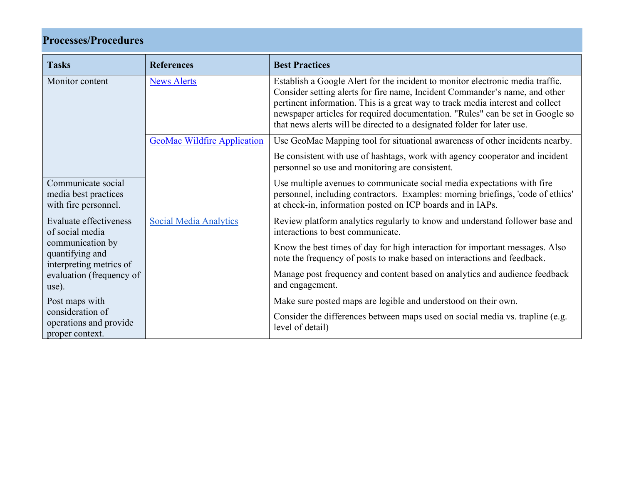## **Processes/Procedures**

| <b>Tasks</b>                                                       | <b>References</b>                  | <b>Best Practices</b>                                                                                                                                                                                                                                                                                                                                                                                        |
|--------------------------------------------------------------------|------------------------------------|--------------------------------------------------------------------------------------------------------------------------------------------------------------------------------------------------------------------------------------------------------------------------------------------------------------------------------------------------------------------------------------------------------------|
| Monitor content                                                    | <b>News Alerts</b>                 | Establish a Google Alert for the incident to monitor electronic media traffic.<br>Consider setting alerts for fire name, Incident Commander's name, and other<br>pertinent information. This is a great way to track media interest and collect<br>newspaper articles for required documentation. "Rules" can be set in Google so<br>that news alerts will be directed to a designated folder for later use. |
|                                                                    | <b>GeoMac Wildfire Application</b> | Use GeoMac Mapping tool for situational awareness of other incidents nearby.                                                                                                                                                                                                                                                                                                                                 |
|                                                                    |                                    | Be consistent with use of hashtags, work with agency cooperator and incident<br>personnel so use and monitoring are consistent.                                                                                                                                                                                                                                                                              |
| Communicate social<br>media best practices<br>with fire personnel. |                                    | Use multiple avenues to communicate social media expectations with fire<br>personnel, including contractors. Examples: morning briefings, 'code of ethics'<br>at check-in, information posted on ICP boards and in IAPs.                                                                                                                                                                                     |
| Evaluate effectiveness<br>of social media                          | <b>Social Media Analytics</b>      | Review platform analytics regularly to know and understand follower base and<br>interactions to best communicate.                                                                                                                                                                                                                                                                                            |
| communication by<br>quantifying and<br>interpreting metrics of     |                                    | Know the best times of day for high interaction for important messages. Also<br>note the frequency of posts to make based on interactions and feedback.                                                                                                                                                                                                                                                      |
| evaluation (frequency of<br>use).                                  |                                    | Manage post frequency and content based on analytics and audience feedback<br>and engagement.                                                                                                                                                                                                                                                                                                                |
| Post maps with                                                     |                                    | Make sure posted maps are legible and understood on their own.                                                                                                                                                                                                                                                                                                                                               |
| consideration of<br>operations and provide<br>proper context.      |                                    | Consider the differences between maps used on social media vs. trapline (e.g.<br>level of detail)                                                                                                                                                                                                                                                                                                            |